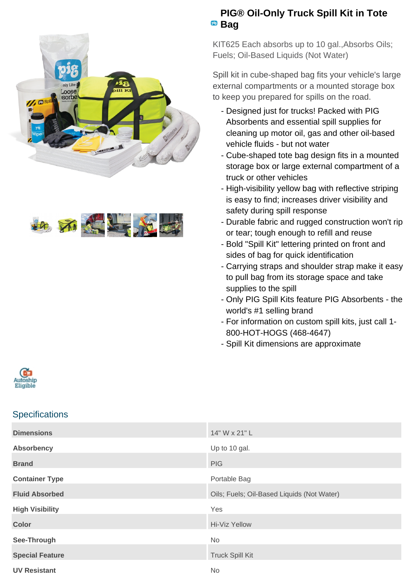



## **PIG® Oil-Only Truck Spill Kit in Tote** <sup>pig</sup> Bag

KIT625 Each absorbs up to 10 gal.,Absorbs Oils; Fuels; Oil-Based Liquids (Not Water)

Spill kit in cube-shaped bag fits your vehicle's large external compartments or a mounted storage box to keep you prepared for spills on the road.

- Designed just for trucks! Packed with PIG Absorbents and essential spill supplies for cleaning up motor oil, gas and other oil-based vehicle fluids - but not water
- Cube-shaped tote bag design fits in a mounted storage box or large external compartment of a truck or other vehicles
- High-visibility yellow bag with reflective striping is easy to find; increases driver visibility and safety during spill response
- Durable fabric and rugged construction won't rip or tear; tough enough to refill and reuse
- Bold "Spill Kit" lettering printed on front and sides of bag for quick identification
- Carrying straps and shoulder strap make it easy to pull bag from its storage space and take supplies to the spill
- Only PIG Spill Kits feature PIG Absorbents the world's #1 selling brand
- For information on custom spill kits, just call 1-800-HOT-HOGS (468-4647)
- Spill Kit dimensions are approximate



## **Specifications**

| <b>Dimensions</b>      | 14" W x 21" L                              |
|------------------------|--------------------------------------------|
| <b>Absorbency</b>      | Up to 10 gal.                              |
| <b>Brand</b>           | <b>PIG</b>                                 |
| <b>Container Type</b>  | Portable Bag                               |
| <b>Fluid Absorbed</b>  | Oils; Fuels; Oil-Based Liquids (Not Water) |
| <b>High Visibility</b> | Yes                                        |
| <b>Color</b>           | Hi-Viz Yellow                              |
| See-Through            | No                                         |
| <b>Special Feature</b> | <b>Truck Spill Kit</b>                     |
| <b>UV Resistant</b>    | <b>No</b>                                  |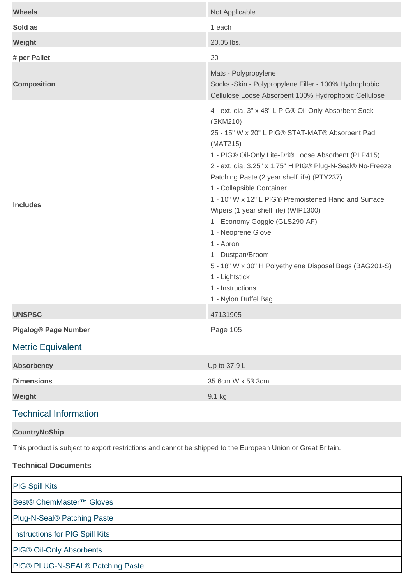| <b>Wheels</b>                                                                                                | Not Applicable                                                                                                                                                                                                                                                                                                                                                                                                                                                                                                                                                                                                                                       |  |
|--------------------------------------------------------------------------------------------------------------|------------------------------------------------------------------------------------------------------------------------------------------------------------------------------------------------------------------------------------------------------------------------------------------------------------------------------------------------------------------------------------------------------------------------------------------------------------------------------------------------------------------------------------------------------------------------------------------------------------------------------------------------------|--|
| Sold as                                                                                                      | 1 each                                                                                                                                                                                                                                                                                                                                                                                                                                                                                                                                                                                                                                               |  |
| Weight                                                                                                       | 20.05 lbs.                                                                                                                                                                                                                                                                                                                                                                                                                                                                                                                                                                                                                                           |  |
| # per Pallet                                                                                                 | 20                                                                                                                                                                                                                                                                                                                                                                                                                                                                                                                                                                                                                                                   |  |
| <b>Composition</b>                                                                                           | Mats - Polypropylene<br>Socks -Skin - Polypropylene Filler - 100% Hydrophobic<br>Cellulose Loose Absorbent 100% Hydrophobic Cellulose                                                                                                                                                                                                                                                                                                                                                                                                                                                                                                                |  |
| <b>Includes</b>                                                                                              | 4 - ext. dia. 3" x 48" L PIG® Oil-Only Absorbent Sock<br>(SKM210)<br>25 - 15" W x 20" L PIG® STAT-MAT® Absorbent Pad<br>(MAT215)<br>1 - PIG® Oil-Only Lite-Dri® Loose Absorbent (PLP415)<br>2 - ext. dia. 3.25" x 1.75" H PIG® Plug-N-Seal® No-Freeze<br>Patching Paste (2 year shelf life) (PTY237)<br>1 - Collapsible Container<br>1 - 10" W x 12" L PIG® Premoistened Hand and Surface<br>Wipers (1 year shelf life) (WIP1300)<br>1 - Economy Goggle (GLS290-AF)<br>1 - Neoprene Glove<br>1 - Apron<br>1 - Dustpan/Broom<br>5 - 18" W x 30" H Polyethylene Disposal Bags (BAG201-S)<br>1 - Lightstick<br>1 - Instructions<br>1 - Nylon Duffel Bag |  |
| <b>UNSPSC</b>                                                                                                | 47131905                                                                                                                                                                                                                                                                                                                                                                                                                                                                                                                                                                                                                                             |  |
| <b>Pigalog® Page Number</b>                                                                                  | Page 105                                                                                                                                                                                                                                                                                                                                                                                                                                                                                                                                                                                                                                             |  |
| <b>Metric Equivalent</b>                                                                                     |                                                                                                                                                                                                                                                                                                                                                                                                                                                                                                                                                                                                                                                      |  |
| <b>Absorbency</b>                                                                                            | Up to 37.9 L                                                                                                                                                                                                                                                                                                                                                                                                                                                                                                                                                                                                                                         |  |
| <b>Dimensions</b>                                                                                            | 35.6cm W x 53.3cm L                                                                                                                                                                                                                                                                                                                                                                                                                                                                                                                                                                                                                                  |  |
| Weight                                                                                                       | 9.1 kg                                                                                                                                                                                                                                                                                                                                                                                                                                                                                                                                                                                                                                               |  |
| <b>Technical Information</b>                                                                                 |                                                                                                                                                                                                                                                                                                                                                                                                                                                                                                                                                                                                                                                      |  |
| <b>CountryNoShip</b>                                                                                         |                                                                                                                                                                                                                                                                                                                                                                                                                                                                                                                                                                                                                                                      |  |
| This product is subject to export restrictions and cannot be shipped to the European Union or Great Britain. |                                                                                                                                                                                                                                                                                                                                                                                                                                                                                                                                                                                                                                                      |  |

## **Technical Documents**

[PIG Spill Kits](https://newpig.scene7.com/is/content/NewPig/pdfs/CCG_SPILLKITS.pdf) [Best® ChemMaster™ Gloves](https://newpig.scene7.com/is/content/NewPig/pdfs/CHEM_MASTER.pdf) [Plug-N-Seal® Patching Paste](https://newpig.scene7.com/is/content/NewPig/pdfs/PLUG_N_SEAL.pdf) [Instructions for PIG Spill Kits](https://newpig.scene7.com/is/content/NewPig/pdfs/INST_SPILLKITS.pdf) [PIG® Oil-Only Absorbents](https://newpig.scene7.com/is/content/NewPig/pdfs/MSD016.pdf) [PIG® PLUG-N-SEAL® Patching Paste](https://newpig.scene7.com/is/content/NewPig/pdfs/MSD048.pdf)